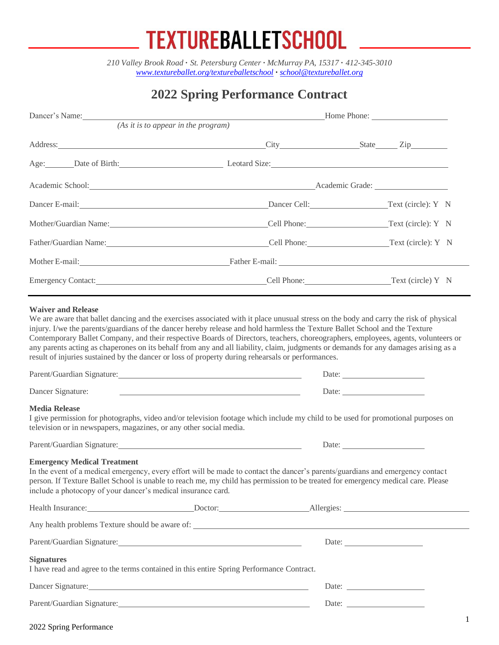## **TEXTUREBALLETSCHOOL**

*210 Valley Brook Road* **·** *St. Petersburg Center · McMurray PA, 15317* **·** *412-345-3010 [www.textureballet.org/textureballetschool](http://www.textureballet.org/textureballetschool) · [school@textureballet.org](mailto:school@textureballet.org)*

## **2022 Spring Performance Contract**

| Dancer's Name:                                                                                                                                                                                                                                                                                                                                                                                                                                                                                                                                                                                                  | <b>Example 2018</b> Home Phone: |  |  |
|-----------------------------------------------------------------------------------------------------------------------------------------------------------------------------------------------------------------------------------------------------------------------------------------------------------------------------------------------------------------------------------------------------------------------------------------------------------------------------------------------------------------------------------------------------------------------------------------------------------------|---------------------------------|--|--|
| (As it is to appear in the program)                                                                                                                                                                                                                                                                                                                                                                                                                                                                                                                                                                             |                                 |  |  |
| Address: <u>City State</u> Zip                                                                                                                                                                                                                                                                                                                                                                                                                                                                                                                                                                                  |                                 |  |  |
| Age: Date of Birth: Leotard Size:                                                                                                                                                                                                                                                                                                                                                                                                                                                                                                                                                                               |                                 |  |  |
|                                                                                                                                                                                                                                                                                                                                                                                                                                                                                                                                                                                                                 |                                 |  |  |
| Dancer E-mail: Text (circle): Y N                                                                                                                                                                                                                                                                                                                                                                                                                                                                                                                                                                               |                                 |  |  |
| Mother/Guardian Name: Cell Phone: Text (circle): Y N                                                                                                                                                                                                                                                                                                                                                                                                                                                                                                                                                            |                                 |  |  |
| Father/Guardian Name: Text (circle): Y N                                                                                                                                                                                                                                                                                                                                                                                                                                                                                                                                                                        |                                 |  |  |
| Mother E-mail: Father E-mail: Father E-mail: Contract Contract Contract Contract Contract Contract Contract Contract Contract Contract Contract Contract Contract Contract Contract Contract Contract Contract Contract Contra                                                                                                                                                                                                                                                                                                                                                                                  |                                 |  |  |
|                                                                                                                                                                                                                                                                                                                                                                                                                                                                                                                                                                                                                 |                                 |  |  |
| result of injuries sustained by the dancer or loss of property during rehearsals or performances.                                                                                                                                                                                                                                                                                                                                                                                                                                                                                                               |                                 |  |  |
|                                                                                                                                                                                                                                                                                                                                                                                                                                                                                                                                                                                                                 |                                 |  |  |
|                                                                                                                                                                                                                                                                                                                                                                                                                                                                                                                                                                                                                 |                                 |  |  |
| <u> 1989 - Johann Stein, mars an deutscher Stein und der Stein und der Stein und der Stein und der Stein und der</u>                                                                                                                                                                                                                                                                                                                                                                                                                                                                                            |                                 |  |  |
|                                                                                                                                                                                                                                                                                                                                                                                                                                                                                                                                                                                                                 |                                 |  |  |
| Dancer Signature:<br><b>Media Release</b><br>I give permission for photographs, video and/or television footage which include my child to be used for promotional purposes on<br>television or in newspapers, magazines, or any other social media.                                                                                                                                                                                                                                                                                                                                                             |                                 |  |  |
|                                                                                                                                                                                                                                                                                                                                                                                                                                                                                                                                                                                                                 |                                 |  |  |
|                                                                                                                                                                                                                                                                                                                                                                                                                                                                                                                                                                                                                 |                                 |  |  |
|                                                                                                                                                                                                                                                                                                                                                                                                                                                                                                                                                                                                                 |                                 |  |  |
| <b>Emergency Medical Treatment</b><br>In the event of a medical emergency, every effort will be made to contact the dancer's parents/guardians and emergency contact<br>person. If Texture Ballet School is unable to reach me, my child has permission to be treated for emergency medical care. Please<br>include a photocopy of your dancer's medical insurance card.<br>Health Insurance: <u>New York: Doctor: Allergies:</u> Allergies: Allergies: Allergies: Allergies: Allergies: Allergies: Allergies: Allergies: Allergies: Allergies: Allergies: Allergies: Allergies: Allergies: Allergies: Allergie |                                 |  |  |
|                                                                                                                                                                                                                                                                                                                                                                                                                                                                                                                                                                                                                 |                                 |  |  |
| <b>Signatures</b><br>I have read and agree to the terms contained in this entire Spring Performance Contract.<br>Dancer Signature: <u>contract and a series of the series of the series of the series of the series of the series of</u>                                                                                                                                                                                                                                                                                                                                                                        |                                 |  |  |

#### 2022 Spring Performance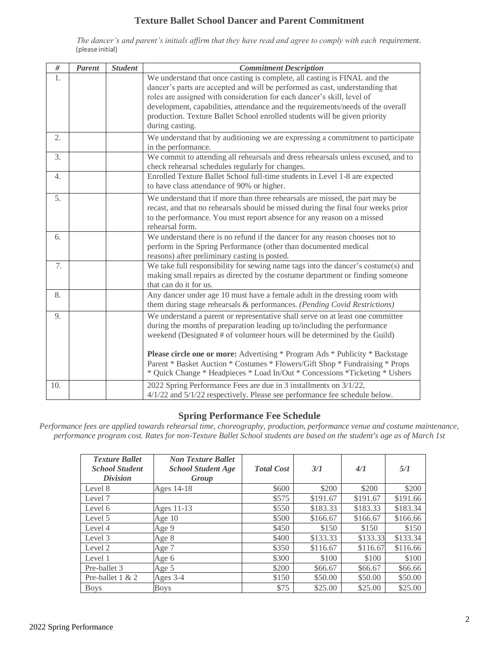### **Texture Ballet School Dancer and Parent Commitment**

*The dancer's and parent's initials affirm that they have read and agree to comply with each requirement.* (please initial)

| $\#$     | <b>Parent</b> | <b>Student</b> | <b>Commitment Description</b>                                                                                                                                                                                                                                                                                                                                                                                                                                                                                |
|----------|---------------|----------------|--------------------------------------------------------------------------------------------------------------------------------------------------------------------------------------------------------------------------------------------------------------------------------------------------------------------------------------------------------------------------------------------------------------------------------------------------------------------------------------------------------------|
| 1.<br>2. |               |                | We understand that once casting is complete, all casting is FINAL and the<br>dancer's parts are accepted and will be performed as cast, understanding that<br>roles are assigned with consideration for each dancer's skill, level of<br>development, capabilities, attendance and the requirements/needs of the overall<br>production. Texture Ballet School enrolled students will be given priority<br>during casting.<br>We understand that by auditioning we are expressing a commitment to participate |
|          |               |                | in the performance.                                                                                                                                                                                                                                                                                                                                                                                                                                                                                          |
| 3.       |               |                | We commit to attending all rehearsals and dress rehearsals unless excused, and to<br>check rehearsal schedules regularly for changes.                                                                                                                                                                                                                                                                                                                                                                        |
| 4.       |               |                | Enrolled Texture Ballet School full-time students in Level 1-8 are expected<br>to have class attendance of 90% or higher.                                                                                                                                                                                                                                                                                                                                                                                    |
| 5.       |               |                | We understand that if more than three rehearsals are missed, the part may be<br>recast, and that no rehearsals should be missed during the final four weeks prior<br>to the performance. You must report absence for any reason on a missed<br>rehearsal form.                                                                                                                                                                                                                                               |
| 6.       |               |                | We understand there is no refund if the dancer for any reason chooses not to<br>perform in the Spring Performance (other than documented medical<br>reasons) after preliminary casting is posted.                                                                                                                                                                                                                                                                                                            |
| 7.       |               |                | We take full responsibility for sewing name tags into the dancer's costume(s) and<br>making small repairs as directed by the costume department or finding someone<br>that can do it for us.                                                                                                                                                                                                                                                                                                                 |
| 8.       |               |                | Any dancer under age 10 must have a female adult in the dressing room with<br>them during stage rehearsals & performances. (Pending Covid Restrictions)                                                                                                                                                                                                                                                                                                                                                      |
| 9.       |               |                | We understand a parent or representative shall serve on at least one committee<br>during the months of preparation leading up to/including the performance<br>weekend (Designated # of volunteer hours will be determined by the Guild)<br><b>Please circle one or more:</b> Advertising * Program Ads * Publicity * Backstage<br>Parent * Basket Auction * Costumes * Flowers/Gift Shop * Fundraising * Props<br>* Quick Change * Headpieces * Load In/Out * Concessions *Ticketing * Ushers                |
| 10.      |               |                | 2022 Spring Performance Fees are due in 3 installments on 3/1/22,<br>4/1/22 and 5/1/22 respectively. Please see performance fee schedule below.                                                                                                                                                                                                                                                                                                                                                              |

#### **Spring Performance Fee Schedule**

*Performance fees are applied towards rehearsal time, choreography, production, performance venue and costume maintenance, performance program cost. Rates for non-Texture Ballet School students are based on the student's age as of March 1st*

| <b>Texture Ballet</b><br><b>School Student</b><br><i>Division</i> | <b>Non Texture Ballet</b><br><b>School Student Age</b><br>Group | <b>Total Cost</b> | 3/1      | 4/1      | 5/1      |
|-------------------------------------------------------------------|-----------------------------------------------------------------|-------------------|----------|----------|----------|
| Level 8                                                           | Ages 14-18                                                      | \$600             | \$200    | \$200    | \$200    |
| Level 7                                                           |                                                                 | \$575             | \$191.67 | \$191.67 | \$191.66 |
| Level 6                                                           | Ages 11-13                                                      | \$550             | \$183.33 | \$183.33 | \$183.34 |
| Level 5                                                           | Age $10$                                                        | \$500             | \$166.67 | \$166.67 | \$166.66 |
| Level 4                                                           | Age 9                                                           | \$450             | \$150    | \$150    | \$150    |
| Level 3                                                           | Age 8                                                           | \$400             | \$133.33 | \$133.33 | \$133.34 |
| Level 2                                                           | Age 7                                                           | \$350             | \$116.67 | \$116.67 | \$116.66 |
| Level 1                                                           | Age 6                                                           | \$300             | \$100    | \$100    | \$100    |
| Pre-ballet 3                                                      | Age 5                                                           | \$200             | \$66.67  | \$66.67  | \$66.66  |
| Pre-ballet $1 & 2$                                                | Ages 3-4                                                        | \$150             | \$50.00  | \$50.00  | \$50.00  |
| <b>Boys</b>                                                       | <b>Boys</b>                                                     | \$75              | \$25.00  | \$25.00  | \$25.00  |